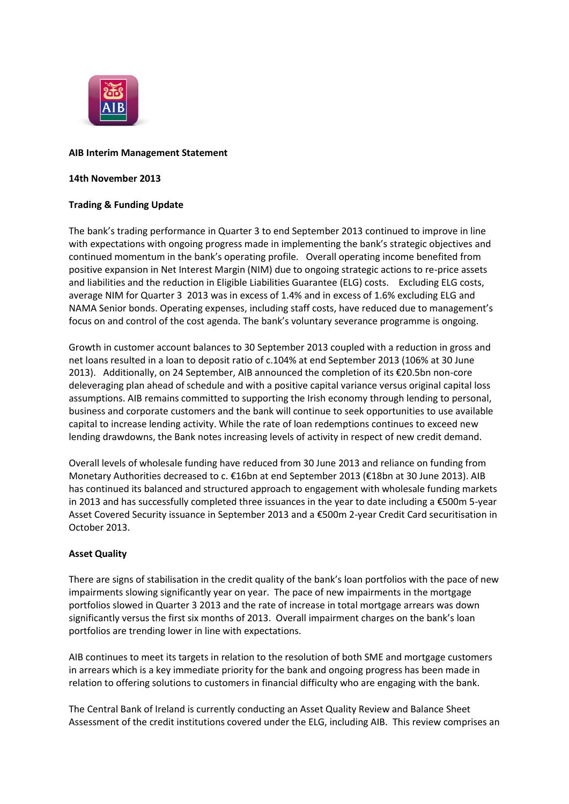

### **AIB Interim Management Statement**

### **14th November 2013**

# **Trading & Funding Update**

The bank's trading performance in Quarter 3 to end September 2013 continued to improve in line with expectations with ongoing progress made in implementing the bank's strategic objectives and continued momentum in the bank's operating profile. Overall operating income benefited from positive expansion in Net Interest Margin (NIM) due to ongoing strategic actions to re-price assets and liabilities and the reduction in Eligible Liabilities Guarantee (ELG) costs. Excluding ELG costs, average NIM for Quarter 3 2013 was in excess of 1.4% and in excess of 1.6% excluding ELG and NAMA Senior bonds. Operating expenses, including staff costs, have reduced due to management's focus on and control of the cost agenda. The bank's voluntary severance programme is ongoing.

Growth in customer account balances to 30 September 2013 coupled with a reduction in gross and net loans resulted in a loan to deposit ratio of c.104% at end September 2013 (106% at 30 June 2013). Additionally, on 24 September, AIB announced the completion of its €20.5bn non-core deleveraging plan ahead of schedule and with a positive capital variance versus original capital loss assumptions. AIB remains committed to supporting the Irish economy through lending to personal, business and corporate customers and the bank will continue to seek opportunities to use available capital to increase lending activity. While the rate of loan redemptions continues to exceed new lending drawdowns, the Bank notes increasing levels of activity in respect of new credit demand.

Overall levels of wholesale funding have reduced from 30 June 2013 and reliance on funding from Monetary Authorities decreased to c. €16bn at end September 2013 (€18bn at 30 June 2013). AIB has continued its balanced and structured approach to engagement with wholesale funding markets in 2013 and has successfully completed three issuances in the year to date including a €500m 5-year Asset Covered Security issuance in September 2013 and a €500m 2-year Credit Card securitisation in October 2013.

# **Asset Quality**

There are signs of stabilisation in the credit quality of the bank's loan portfolios with the pace of new impairments slowing significantly year on year. The pace of new impairments in the mortgage portfolios slowed in Quarter 3 2013 and the rate of increase in total mortgage arrears was down significantly versus the first six months of 2013. Overall impairment charges on the bank's loan portfolios are trending lower in line with expectations.

AIB continues to meet its targets in relation to the resolution of both SME and mortgage customers in arrears which is a key immediate priority for the bank and ongoing progress has been made in relation to offering solutions to customers in financial difficulty who are engaging with the bank.

The Central Bank of Ireland is currently conducting an Asset Quality Review and Balance Sheet Assessment of the credit institutions covered under the ELG, including AIB. This review comprises an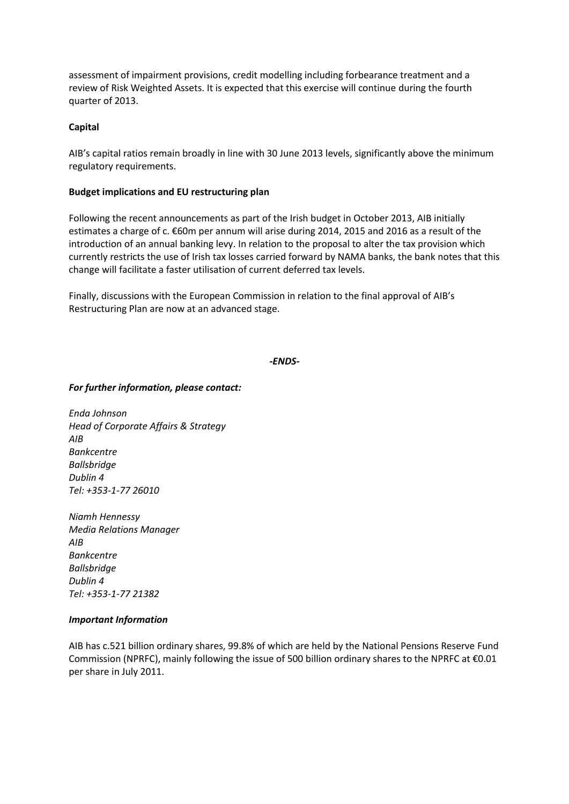assessment of impairment provisions, credit modelling including forbearance treatment and a review of Risk Weighted Assets. It is expected that this exercise will continue during the fourth quarter of 2013.

### **Capital**

AIB's capital ratios remain broadly in line with 30 June 2013 levels, significantly above the minimum regulatory requirements.

# **Budget implications and EU restructuring plan**

Following the recent announcements as part of the Irish budget in October 2013, AIB initially estimates a charge of c. €60m per annum will arise during 2014, 2015 and 2016 as a result of the introduction of an annual banking levy. In relation to the proposal to alter the tax provision which currently restricts the use of Irish tax losses carried forward by NAMA banks, the bank notes that this change will facilitate a faster utilisation of current deferred tax levels.

Finally, discussions with the European Commission in relation to the final approval of AIB's Restructuring Plan are now at an advanced stage.

### *-ENDS-*

# *For further information, please contact:*

*Enda Johnson Head of Corporate Affairs & Strategy AIB Bankcentre Ballsbridge Dublin 4 Tel: +353-1-77 26010*

*Niamh Hennessy Media Relations Manager AIB Bankcentre Ballsbridge Dublin 4 Tel: +353-1-77 21382*

### *Important Information*

AIB has c.521 billion ordinary shares, 99.8% of which are held by the National Pensions Reserve Fund Commission (NPRFC), mainly following the issue of 500 billion ordinary shares to the NPRFC at  $\epsilon$ 0.01 per share in July 2011.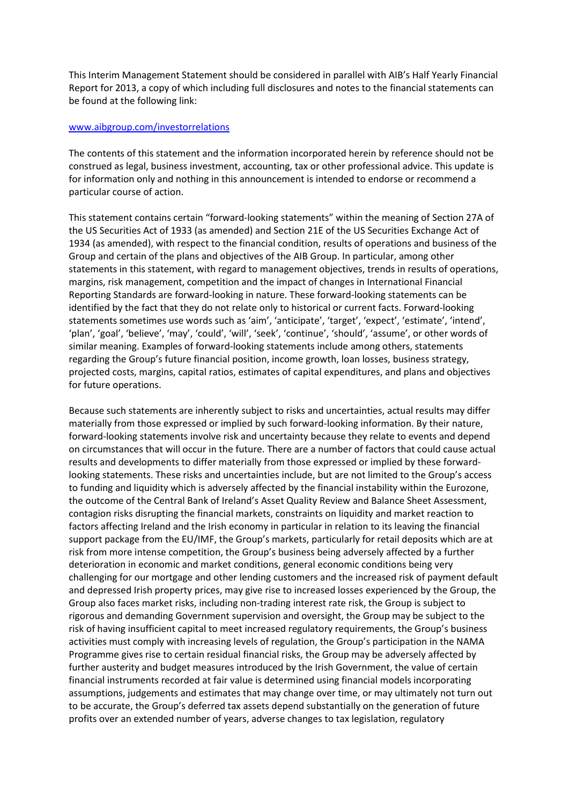This Interim Management Statement should be considered in parallel with AIB's Half Yearly Financial Report for 2013, a copy of which including full disclosures and notes to the financial statements can be found at the following link:

#### [www.aibgroup.com/investorrelations](http://www.aibgroup.com/investorrelations)

The contents of this statement and the information incorporated herein by reference should not be construed as legal, business investment, accounting, tax or other professional advice. This update is for information only and nothing in this announcement is intended to endorse or recommend a particular course of action.

This statement contains certain "forward-looking statements" within the meaning of Section 27A of the US Securities Act of 1933 (as amended) and Section 21E of the US Securities Exchange Act of 1934 (as amended), with respect to the financial condition, results of operations and business of the Group and certain of the plans and objectives of the AIB Group. In particular, among other statements in this statement, with regard to management objectives, trends in results of operations, margins, risk management, competition and the impact of changes in International Financial Reporting Standards are forward-looking in nature. These forward-looking statements can be identified by the fact that they do not relate only to historical or current facts. Forward-looking statements sometimes use words such as 'aim', 'anticipate', 'target', 'expect', 'estimate', 'intend', 'plan', 'goal', 'believe', 'may', 'could', 'will', 'seek', 'continue', 'should', 'assume', or other words of similar meaning. Examples of forward-looking statements include among others, statements regarding the Group's future financial position, income growth, loan losses, business strategy, projected costs, margins, capital ratios, estimates of capital expenditures, and plans and objectives for future operations.

Because such statements are inherently subject to risks and uncertainties, actual results may differ materially from those expressed or implied by such forward-looking information. By their nature, forward-looking statements involve risk and uncertainty because they relate to events and depend on circumstances that will occur in the future. There are a number of factors that could cause actual results and developments to differ materially from those expressed or implied by these forwardlooking statements. These risks and uncertainties include, but are not limited to the Group's access to funding and liquidity which is adversely affected by the financial instability within the Eurozone, the outcome of the Central Bank of Ireland's Asset Quality Review and Balance Sheet Assessment, contagion risks disrupting the financial markets, constraints on liquidity and market reaction to factors affecting Ireland and the Irish economy in particular in relation to its leaving the financial support package from the EU/IMF, the Group's markets, particularly for retail deposits which are at risk from more intense competition, the Group's business being adversely affected by a further deterioration in economic and market conditions, general economic conditions being very challenging for our mortgage and other lending customers and the increased risk of payment default and depressed Irish property prices, may give rise to increased losses experienced by the Group, the Group also faces market risks, including non-trading interest rate risk, the Group is subject to rigorous and demanding Government supervision and oversight, the Group may be subject to the risk of having insufficient capital to meet increased regulatory requirements, the Group's business activities must comply with increasing levels of regulation, the Group's participation in the NAMA Programme gives rise to certain residual financial risks, the Group may be adversely affected by further austerity and budget measures introduced by the Irish Government, the value of certain financial instruments recorded at fair value is determined using financial models incorporating assumptions, judgements and estimates that may change over time, or may ultimately not turn out to be accurate, the Group's deferred tax assets depend substantially on the generation of future profits over an extended number of years, adverse changes to tax legislation, regulatory